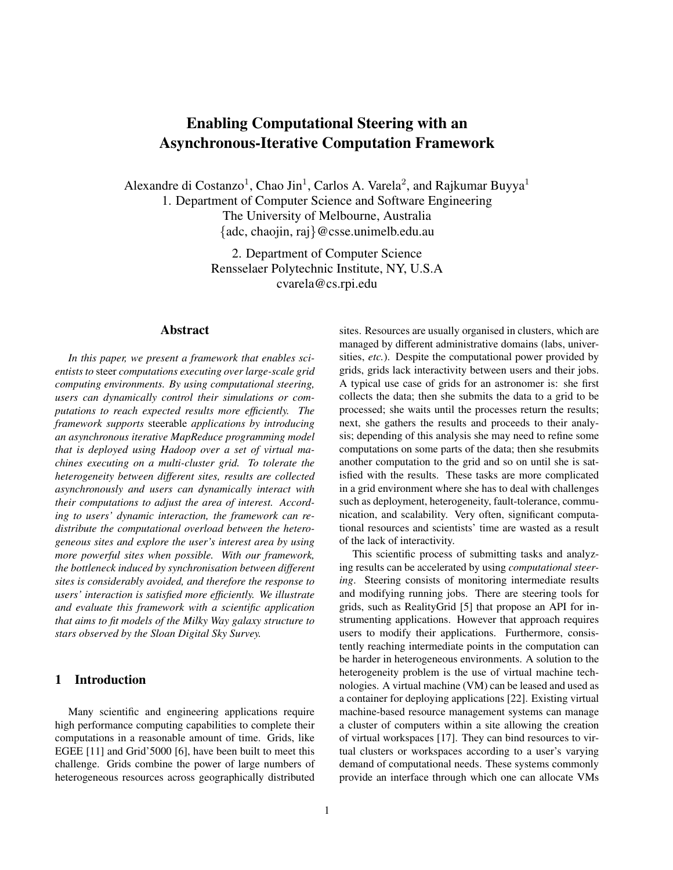# Enabling Computational Steering with an Asynchronous-Iterative Computation Framework

Alexandre di Costanzo<sup>1</sup>, Chao Jin<sup>1</sup>, Carlos A. Varela<sup>2</sup>, and Rajkumar Buyya<sup>1</sup> 1. Department of Computer Science and Software Engineering The University of Melbourne, Australia {adc, chaojin, raj}@csse.unimelb.edu.au

> 2. Department of Computer Science Rensselaer Polytechnic Institute, NY, U.S.A cvarela@cs.rpi.edu

### Abstract

*In this paper, we present a framework that enables scientists to* steer *computations executing over large-scale grid computing environments. By using computational steering, users can dynamically control their simulations or computations to reach expected results more efficiently. The framework supports* steerable *applications by introducing an asynchronous iterative MapReduce programming model that is deployed using Hadoop over a set of virtual machines executing on a multi-cluster grid. To tolerate the heterogeneity between different sites, results are collected asynchronously and users can dynamically interact with their computations to adjust the area of interest. According to users' dynamic interaction, the framework can redistribute the computational overload between the heterogeneous sites and explore the user's interest area by using more powerful sites when possible. With our framework, the bottleneck induced by synchronisation between different sites is considerably avoided, and therefore the response to users' interaction is satisfied more efficiently. We illustrate and evaluate this framework with a scientific application that aims to fit models of the Milky Way galaxy structure to stars observed by the Sloan Digital Sky Survey.*

# 1 Introduction

Many scientific and engineering applications require high performance computing capabilities to complete their computations in a reasonable amount of time. Grids, like EGEE [11] and Grid'5000 [6], have been built to meet this challenge. Grids combine the power of large numbers of heterogeneous resources across geographically distributed sites. Resources are usually organised in clusters, which are managed by different administrative domains (labs, universities, *etc.*). Despite the computational power provided by grids, grids lack interactivity between users and their jobs. A typical use case of grids for an astronomer is: she first collects the data; then she submits the data to a grid to be processed; she waits until the processes return the results; next, she gathers the results and proceeds to their analysis; depending of this analysis she may need to refine some computations on some parts of the data; then she resubmits another computation to the grid and so on until she is satisfied with the results. These tasks are more complicated in a grid environment where she has to deal with challenges such as deployment, heterogeneity, fault-tolerance, communication, and scalability. Very often, significant computational resources and scientists' time are wasted as a result of the lack of interactivity.

This scientific process of submitting tasks and analyzing results can be accelerated by using *computational steering*. Steering consists of monitoring intermediate results and modifying running jobs. There are steering tools for grids, such as RealityGrid [5] that propose an API for instrumenting applications. However that approach requires users to modify their applications. Furthermore, consistently reaching intermediate points in the computation can be harder in heterogeneous environments. A solution to the heterogeneity problem is the use of virtual machine technologies. A virtual machine (VM) can be leased and used as a container for deploying applications [22]. Existing virtual machine-based resource management systems can manage a cluster of computers within a site allowing the creation of virtual workspaces [17]. They can bind resources to virtual clusters or workspaces according to a user's varying demand of computational needs. These systems commonly provide an interface through which one can allocate VMs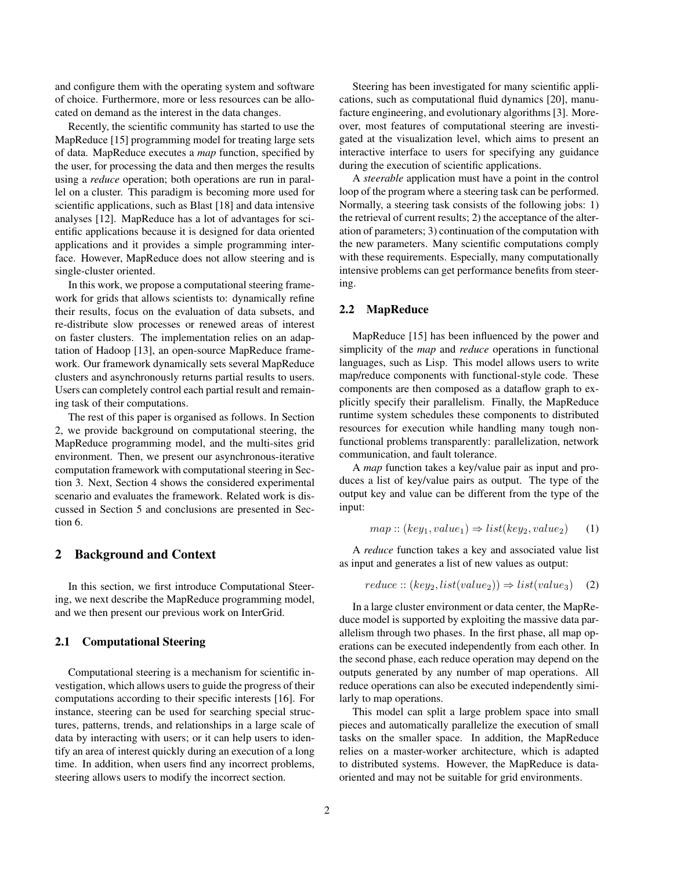and configure them with the operating system and software of choice. Furthermore, more or less resources can be allocated on demand as the interest in the data changes.

Recently, the scientific community has started to use the MapReduce [15] programming model for treating large sets of data. MapReduce executes a *map* function, specified by the user, for processing the data and then merges the results using a *reduce* operation; both operations are run in parallel on a cluster. This paradigm is becoming more used for scientific applications, such as Blast [18] and data intensive analyses [12]. MapReduce has a lot of advantages for scientific applications because it is designed for data oriented applications and it provides a simple programming interface. However, MapReduce does not allow steering and is single-cluster oriented.

In this work, we propose a computational steering framework for grids that allows scientists to: dynamically refine their results, focus on the evaluation of data subsets, and re-distribute slow processes or renewed areas of interest on faster clusters. The implementation relies on an adaptation of Hadoop [13], an open-source MapReduce framework. Our framework dynamically sets several MapReduce clusters and asynchronously returns partial results to users. Users can completely control each partial result and remaining task of their computations.

The rest of this paper is organised as follows. In Section 2, we provide background on computational steering, the MapReduce programming model, and the multi-sites grid environment. Then, we present our asynchronous-iterative computation framework with computational steering in Section 3. Next, Section 4 shows the considered experimental scenario and evaluates the framework. Related work is discussed in Section 5 and conclusions are presented in Section 6.

# 2 Background and Context

In this section, we first introduce Computational Steering, we next describe the MapReduce programming model, and we then present our previous work on InterGrid.

### 2.1 Computational Steering

Computational steering is a mechanism for scientific investigation, which allows users to guide the progress of their computations according to their specific interests [16]. For instance, steering can be used for searching special structures, patterns, trends, and relationships in a large scale of data by interacting with users; or it can help users to identify an area of interest quickly during an execution of a long time. In addition, when users find any incorrect problems, steering allows users to modify the incorrect section.

Steering has been investigated for many scientific applications, such as computational fluid dynamics [20], manufacture engineering, and evolutionary algorithms [3]. Moreover, most features of computational steering are investigated at the visualization level, which aims to present an interactive interface to users for specifying any guidance during the execution of scientific applications.

A *steerable* application must have a point in the control loop of the program where a steering task can be performed. Normally, a steering task consists of the following jobs: 1) the retrieval of current results; 2) the acceptance of the alteration of parameters; 3) continuation of the computation with the new parameters. Many scientific computations comply with these requirements. Especially, many computationally intensive problems can get performance benefits from steering.

#### 2.2 MapReduce

MapReduce [15] has been influenced by the power and simplicity of the *map* and *reduce* operations in functional languages, such as Lisp. This model allows users to write map/reduce components with functional-style code. These components are then composed as a dataflow graph to explicitly specify their parallelism. Finally, the MapReduce runtime system schedules these components to distributed resources for execution while handling many tough nonfunctional problems transparently: parallelization, network communication, and fault tolerance.

A *map* function takes a key/value pair as input and produces a list of key/value pairs as output. The type of the output key and value can be different from the type of the input:

$$
map :: (key_1, value_1) \Rightarrow list(key_2, value_2) \qquad (1)
$$

A *reduce* function takes a key and associated value list as input and generates a list of new values as output:

$$
reduce :: (key_2, list(value_2)) \Rightarrow list(value_3) \quad (2)
$$

In a large cluster environment or data center, the MapReduce model is supported by exploiting the massive data parallelism through two phases. In the first phase, all map operations can be executed independently from each other. In the second phase, each reduce operation may depend on the outputs generated by any number of map operations. All reduce operations can also be executed independently similarly to map operations.

This model can split a large problem space into small pieces and automatically parallelize the execution of small tasks on the smaller space. In addition, the MapReduce relies on a master-worker architecture, which is adapted to distributed systems. However, the MapReduce is dataoriented and may not be suitable for grid environments.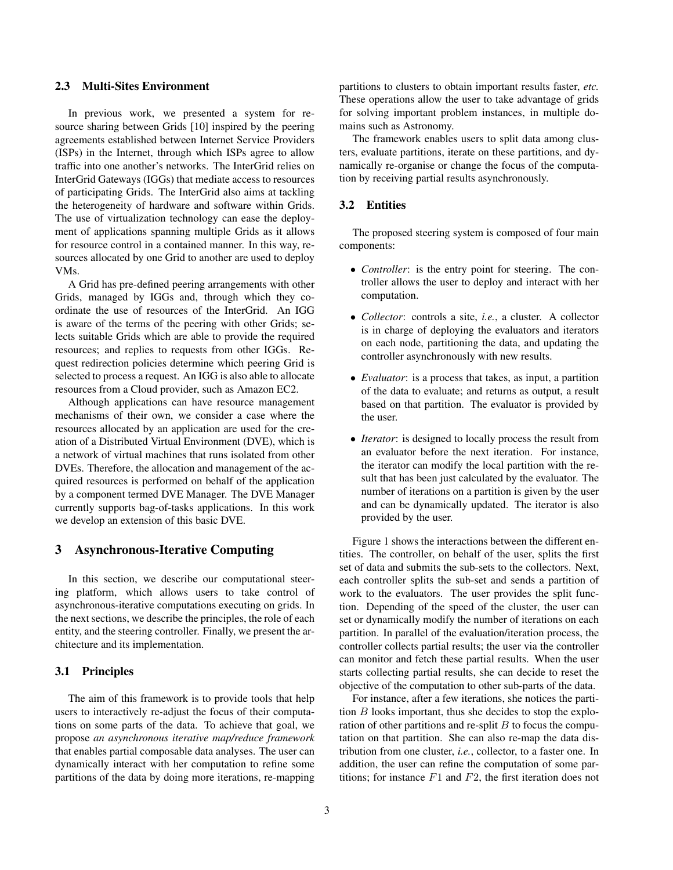## 2.3 Multi-Sites Environment

In previous work, we presented a system for resource sharing between Grids [10] inspired by the peering agreements established between Internet Service Providers (ISPs) in the Internet, through which ISPs agree to allow traffic into one another's networks. The InterGrid relies on InterGrid Gateways (IGGs) that mediate access to resources of participating Grids. The InterGrid also aims at tackling the heterogeneity of hardware and software within Grids. The use of virtualization technology can ease the deployment of applications spanning multiple Grids as it allows for resource control in a contained manner. In this way, resources allocated by one Grid to another are used to deploy VMs.

A Grid has pre-defined peering arrangements with other Grids, managed by IGGs and, through which they coordinate the use of resources of the InterGrid. An IGG is aware of the terms of the peering with other Grids; selects suitable Grids which are able to provide the required resources; and replies to requests from other IGGs. Request redirection policies determine which peering Grid is selected to process a request. An IGG is also able to allocate resources from a Cloud provider, such as Amazon EC2.

Although applications can have resource management mechanisms of their own, we consider a case where the resources allocated by an application are used for the creation of a Distributed Virtual Environment (DVE), which is a network of virtual machines that runs isolated from other DVEs. Therefore, the allocation and management of the acquired resources is performed on behalf of the application by a component termed DVE Manager. The DVE Manager currently supports bag-of-tasks applications. In this work we develop an extension of this basic DVE.

## 3 Asynchronous-Iterative Computing

In this section, we describe our computational steering platform, which allows users to take control of asynchronous-iterative computations executing on grids. In the next sections, we describe the principles, the role of each entity, and the steering controller. Finally, we present the architecture and its implementation.

#### 3.1 Principles

The aim of this framework is to provide tools that help users to interactively re-adjust the focus of their computations on some parts of the data. To achieve that goal, we propose *an asynchronous iterative map/reduce framework* that enables partial composable data analyses. The user can dynamically interact with her computation to refine some partitions of the data by doing more iterations, re-mapping partitions to clusters to obtain important results faster, *etc.* These operations allow the user to take advantage of grids for solving important problem instances, in multiple domains such as Astronomy.

The framework enables users to split data among clusters, evaluate partitions, iterate on these partitions, and dynamically re-organise or change the focus of the computation by receiving partial results asynchronously.

# 3.2 Entities

The proposed steering system is composed of four main components:

- *Controller*: is the entry point for steering. The controller allows the user to deploy and interact with her computation.
- *Collector*: controls a site, *i.e.*, a cluster. A collector is in charge of deploying the evaluators and iterators on each node, partitioning the data, and updating the controller asynchronously with new results.
- *Evaluator*: is a process that takes, as input, a partition of the data to evaluate; and returns as output, a result based on that partition. The evaluator is provided by the user.
- *Iterator*: is designed to locally process the result from an evaluator before the next iteration. For instance, the iterator can modify the local partition with the result that has been just calculated by the evaluator. The number of iterations on a partition is given by the user and can be dynamically updated. The iterator is also provided by the user.

Figure 1 shows the interactions between the different entities. The controller, on behalf of the user, splits the first set of data and submits the sub-sets to the collectors. Next, each controller splits the sub-set and sends a partition of work to the evaluators. The user provides the split function. Depending of the speed of the cluster, the user can set or dynamically modify the number of iterations on each partition. In parallel of the evaluation/iteration process, the controller collects partial results; the user via the controller can monitor and fetch these partial results. When the user starts collecting partial results, she can decide to reset the objective of the computation to other sub-parts of the data.

For instance, after a few iterations, she notices the partition  $B$  looks important, thus she decides to stop the exploration of other partitions and re-split  $B$  to focus the computation on that partition. She can also re-map the data distribution from one cluster, *i.e.*, collector, to a faster one. In addition, the user can refine the computation of some partitions; for instance  $F1$  and  $F2$ , the first iteration does not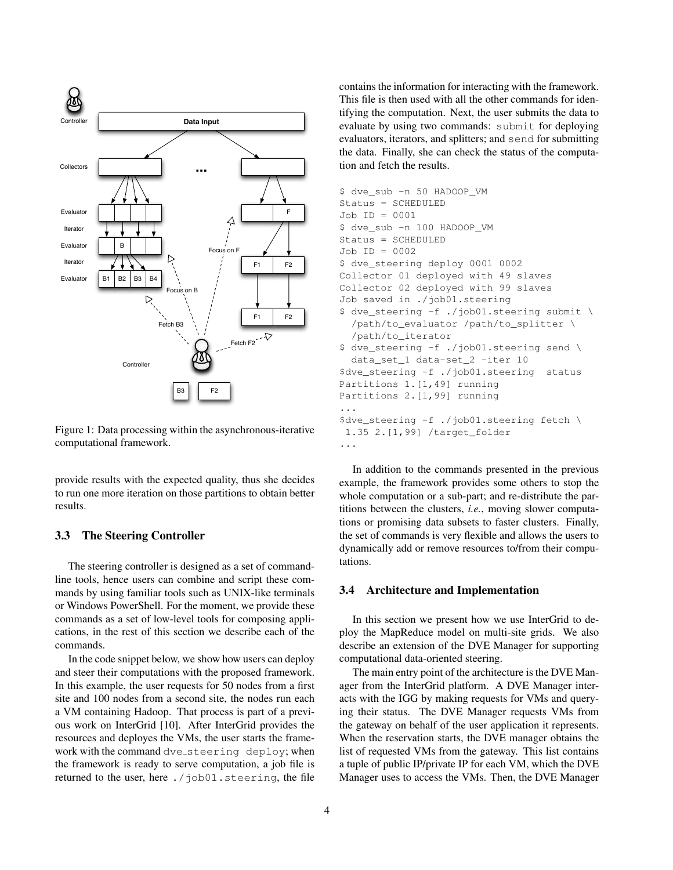

Figure 1: Data processing within the asynchronous-iterative computational framework.

provide results with the expected quality, thus she decides to run one more iteration on those partitions to obtain better results.

# 3.3 The Steering Controller

The steering controller is designed as a set of commandline tools, hence users can combine and script these commands by using familiar tools such as UNIX-like terminals or Windows PowerShell. For the moment, we provide these commands as a set of low-level tools for composing applications, in the rest of this section we describe each of the commands.

In the code snippet below, we show how users can deploy and steer their computations with the proposed framework. In this example, the user requests for 50 nodes from a first site and 100 nodes from a second site, the nodes run each a VM containing Hadoop. That process is part of a previous work on InterGrid [10]. After InterGrid provides the resources and deployes the VMs, the user starts the framework with the command dve\_steering deploy; when the framework is ready to serve computation, a job file is returned to the user, here ./job01.steering, the file contains the information for interacting with the framework. This file is then used with all the other commands for identifying the computation. Next, the user submits the data to evaluate by using two commands: submit for deploying evaluators, iterators, and splitters; and send for submitting the data. Finally, she can check the status of the computation and fetch the results.

```
$ dve_sub -n 50 HADOOP_VM
Status = SCHEDULED
Job ID = 0001
$ dve_sub -n 100 HADOOP_VM
Status = SCHEDULED
Job ID = 0002
$ dve_steering deploy 0001 0002
Collector 01 deployed with 49 slaves
Collector 02 deployed with 99 slaves
Job saved in ./job01.steering
$ dve_steering -f ./job01.steering submit \
  /path/to_evaluator /path/to_splitter \
  /path/to_iterator
$ dve_steering -f ./job01.steering send \
  data_set_1 data-set_2 -iter 10
$dve_steering -f ./job01.steering status
Partitions 1.[1,49] running
Partitions 2.[1,99] running
...
$dve_steering -f ./job01.steering fetch \
 1.35 2.[1,99] /target_folder
...
```
In addition to the commands presented in the previous example, the framework provides some others to stop the whole computation or a sub-part; and re-distribute the partitions between the clusters, *i.e.*, moving slower computations or promising data subsets to faster clusters. Finally, the set of commands is very flexible and allows the users to dynamically add or remove resources to/from their computations.

#### 3.4 Architecture and Implementation

In this section we present how we use InterGrid to deploy the MapReduce model on multi-site grids. We also describe an extension of the DVE Manager for supporting computational data-oriented steering.

The main entry point of the architecture is the DVE Manager from the InterGrid platform. A DVE Manager interacts with the IGG by making requests for VMs and querying their status. The DVE Manager requests VMs from the gateway on behalf of the user application it represents. When the reservation starts, the DVE manager obtains the list of requested VMs from the gateway. This list contains a tuple of public IP/private IP for each VM, which the DVE Manager uses to access the VMs. Then, the DVE Manager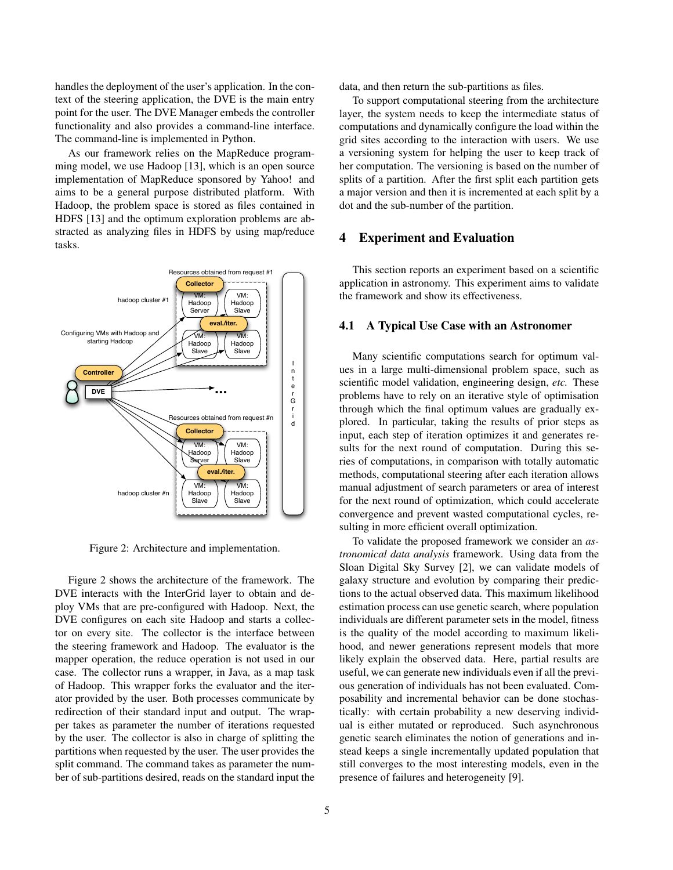handles the deployment of the user's application. In the context of the steering application, the DVE is the main entry point for the user. The DVE Manager embeds the controller functionality and also provides a command-line interface. The command-line is implemented in Python.

As our framework relies on the MapReduce programming model, we use Hadoop [13], which is an open source implementation of MapReduce sponsored by Yahoo! and aims to be a general purpose distributed platform. With Hadoop, the problem space is stored as files contained in HDFS [13] and the optimum exploration problems are abstracted as analyzing files in HDFS by using map/reduce tasks.



Figure 2: Architecture and implementation.

Figure 2 shows the architecture of the framework. The DVE interacts with the InterGrid layer to obtain and deploy VMs that are pre-configured with Hadoop. Next, the DVE configures on each site Hadoop and starts a collector on every site. The collector is the interface between the steering framework and Hadoop. The evaluator is the mapper operation, the reduce operation is not used in our case. The collector runs a wrapper, in Java, as a map task of Hadoop. This wrapper forks the evaluator and the iterator provided by the user. Both processes communicate by redirection of their standard input and output. The wrapper takes as parameter the number of iterations requested by the user. The collector is also in charge of splitting the partitions when requested by the user. The user provides the split command. The command takes as parameter the number of sub-partitions desired, reads on the standard input the data, and then return the sub-partitions as files.

To support computational steering from the architecture layer, the system needs to keep the intermediate status of computations and dynamically configure the load within the grid sites according to the interaction with users. We use a versioning system for helping the user to keep track of her computation. The versioning is based on the number of splits of a partition. After the first split each partition gets a major version and then it is incremented at each split by a dot and the sub-number of the partition.

### 4 Experiment and Evaluation

This section reports an experiment based on a scientific application in astronomy. This experiment aims to validate the framework and show its effectiveness.

### 4.1 A Typical Use Case with an Astronomer

Many scientific computations search for optimum values in a large multi-dimensional problem space, such as scientific model validation, engineering design, *etc.* These problems have to rely on an iterative style of optimisation through which the final optimum values are gradually explored. In particular, taking the results of prior steps as input, each step of iteration optimizes it and generates results for the next round of computation. During this series of computations, in comparison with totally automatic methods, computational steering after each iteration allows manual adjustment of search parameters or area of interest for the next round of optimization, which could accelerate convergence and prevent wasted computational cycles, resulting in more efficient overall optimization.

To validate the proposed framework we consider an *astronomical data analysis* framework. Using data from the Sloan Digital Sky Survey [2], we can validate models of galaxy structure and evolution by comparing their predictions to the actual observed data. This maximum likelihood estimation process can use genetic search, where population individuals are different parameter sets in the model, fitness is the quality of the model according to maximum likelihood, and newer generations represent models that more likely explain the observed data. Here, partial results are useful, we can generate new individuals even if all the previous generation of individuals has not been evaluated. Composability and incremental behavior can be done stochastically: with certain probability a new deserving individual is either mutated or reproduced. Such asynchronous genetic search eliminates the notion of generations and instead keeps a single incrementally updated population that still converges to the most interesting models, even in the presence of failures and heterogeneity [9].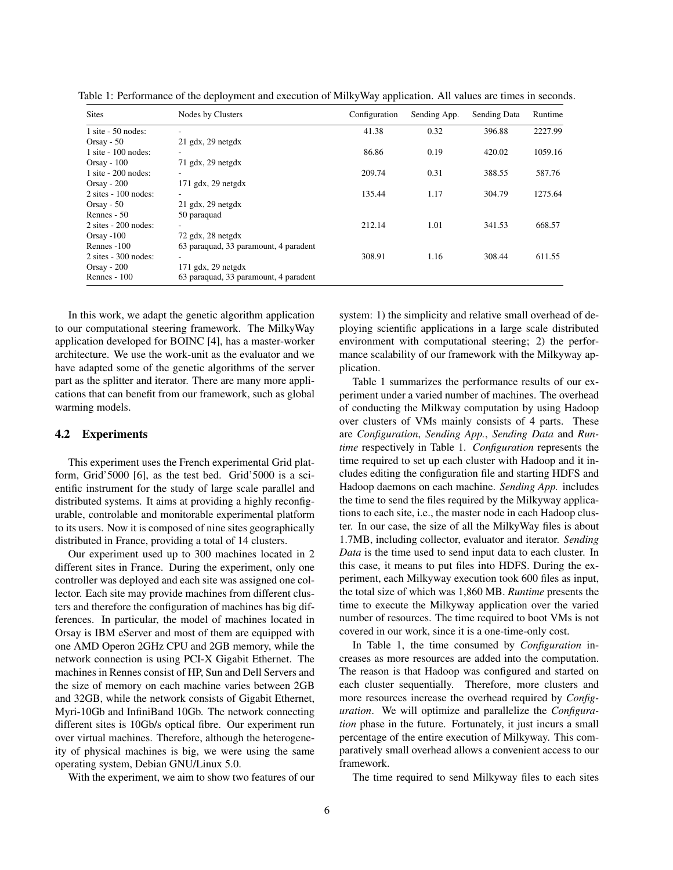| <b>Sites</b>                          | Nodes by Clusters                     | Configuration | Sending App. | Sending Data | Runtime |
|---------------------------------------|---------------------------------------|---------------|--------------|--------------|---------|
| $1$ site - 50 nodes:                  |                                       | 41.38         | 0.32         | 396.88       | 2227.99 |
| Orsay - $50$                          | $21$ gdx, $29$ netgdx                 |               |              |              |         |
| $1$ site $-100$ nodes:                |                                       | 86.86         | 0.19         | 420.02       | 1059.16 |
| $Orsay - 100$                         | $71$ gdx, 29 netgdx                   |               |              |              |         |
| $1$ site $-200$ nodes:                | $\overline{\phantom{a}}$              | 209.74        | 0.31         | 388.55       | 587.76  |
| Orsay - $200$                         | $171$ gdx, 29 netgdx                  |               |              |              |         |
| $2 \text{ sites} - 100 \text{ nodes}$ |                                       | 135.44        | 1.17         | 304.79       | 1275.64 |
| Orsay - $50$                          | $21$ gdx, $29$ netgdx                 |               |              |              |         |
| Rennes - 50                           | 50 paraquad                           |               |              |              |         |
| $2 \text{ sites} - 200 \text{ nodes}$ |                                       | 212.14        | 1.01         | 341.53       | 668.57  |
| Orsay $-100$                          | $72$ gdx, 28 netgdx                   |               |              |              |         |
| Rennes $-100$                         | 63 paraquad, 33 paramount, 4 paradent |               |              |              |         |
| $2$ sites - 300 nodes:                |                                       | 308.91        | 1.16         | 308.44       | 611.55  |
| Orsay - $200$                         | $171$ gdx, 29 netgdx                  |               |              |              |         |
| Rennes - $100$                        | 63 paraquad, 33 paramount, 4 paradent |               |              |              |         |

Table 1: Performance of the deployment and execution of MilkyWay application. All values are times in seconds.

In this work, we adapt the genetic algorithm application to our computational steering framework. The MilkyWay application developed for BOINC [4], has a master-worker architecture. We use the work-unit as the evaluator and we have adapted some of the genetic algorithms of the server part as the splitter and iterator. There are many more applications that can benefit from our framework, such as global warming models.

#### 4.2 Experiments

This experiment uses the French experimental Grid platform, Grid'5000 [6], as the test bed. Grid'5000 is a scientific instrument for the study of large scale parallel and distributed systems. It aims at providing a highly reconfigurable, controlable and monitorable experimental platform to its users. Now it is composed of nine sites geographically distributed in France, providing a total of 14 clusters.

Our experiment used up to 300 machines located in 2 different sites in France. During the experiment, only one controller was deployed and each site was assigned one collector. Each site may provide machines from different clusters and therefore the configuration of machines has big differences. In particular, the model of machines located in Orsay is IBM eServer and most of them are equipped with one AMD Operon 2GHz CPU and 2GB memory, while the network connection is using PCI-X Gigabit Ethernet. The machines in Rennes consist of HP, Sun and Dell Servers and the size of memory on each machine varies between 2GB and 32GB, while the network consists of Gigabit Ethernet, Myri-10Gb and InfiniBand 10Gb. The network connecting different sites is 10Gb/s optical fibre. Our experiment run over virtual machines. Therefore, although the heterogeneity of physical machines is big, we were using the same operating system, Debian GNU/Linux 5.0.

With the experiment, we aim to show two features of our

system: 1) the simplicity and relative small overhead of deploying scientific applications in a large scale distributed environment with computational steering; 2) the performance scalability of our framework with the Milkyway application.

Table 1 summarizes the performance results of our experiment under a varied number of machines. The overhead of conducting the Milkway computation by using Hadoop over clusters of VMs mainly consists of 4 parts. These are *Configuration*, *Sending App.*, *Sending Data* and *Runtime* respectively in Table 1. *Configuration* represents the time required to set up each cluster with Hadoop and it includes editing the configuration file and starting HDFS and Hadoop daemons on each machine. *Sending App.* includes the time to send the files required by the Milkyway applications to each site, i.e., the master node in each Hadoop cluster. In our case, the size of all the MilkyWay files is about 1.7MB, including collector, evaluator and iterator. *Sending Data* is the time used to send input data to each cluster. In this case, it means to put files into HDFS. During the experiment, each Milkyway execution took 600 files as input, the total size of which was 1,860 MB. *Runtime* presents the time to execute the Milkyway application over the varied number of resources. The time required to boot VMs is not covered in our work, since it is a one-time-only cost.

In Table 1, the time consumed by *Configuration* increases as more resources are added into the computation. The reason is that Hadoop was configured and started on each cluster sequentially. Therefore, more clusters and more resources increase the overhead required by *Configuration*. We will optimize and parallelize the *Configuration* phase in the future. Fortunately, it just incurs a small percentage of the entire execution of Milkyway. This comparatively small overhead allows a convenient access to our framework.

The time required to send Milkyway files to each sites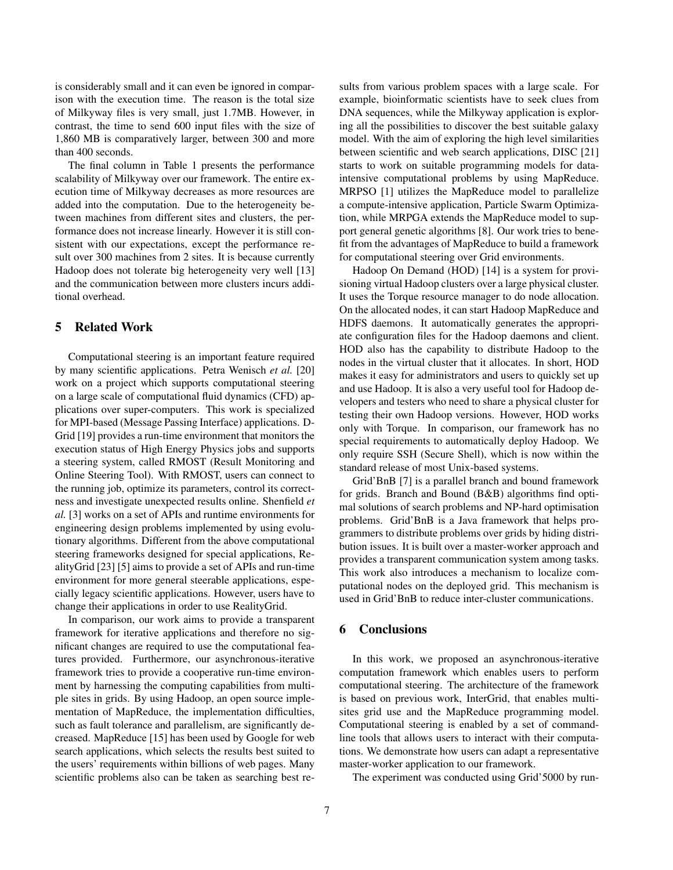is considerably small and it can even be ignored in comparison with the execution time. The reason is the total size of Milkyway files is very small, just 1.7MB. However, in contrast, the time to send 600 input files with the size of 1,860 MB is comparatively larger, between 300 and more than 400 seconds.

The final column in Table 1 presents the performance scalability of Milkyway over our framework. The entire execution time of Milkyway decreases as more resources are added into the computation. Due to the heterogeneity between machines from different sites and clusters, the performance does not increase linearly. However it is still consistent with our expectations, except the performance result over 300 machines from 2 sites. It is because currently Hadoop does not tolerate big heterogeneity very well [13] and the communication between more clusters incurs additional overhead.

# 5 Related Work

Computational steering is an important feature required by many scientific applications. Petra Wenisch *et al.* [20] work on a project which supports computational steering on a large scale of computational fluid dynamics (CFD) applications over super-computers. This work is specialized for MPI-based (Message Passing Interface) applications. D-Grid [19] provides a run-time environment that monitors the execution status of High Energy Physics jobs and supports a steering system, called RMOST (Result Monitoring and Online Steering Tool). With RMOST, users can connect to the running job, optimize its parameters, control its correctness and investigate unexpected results online. Shenfield *et al.* [3] works on a set of APIs and runtime environments for engineering design problems implemented by using evolutionary algorithms. Different from the above computational steering frameworks designed for special applications, RealityGrid [23] [5] aims to provide a set of APIs and run-time environment for more general steerable applications, especially legacy scientific applications. However, users have to change their applications in order to use RealityGrid.

In comparison, our work aims to provide a transparent framework for iterative applications and therefore no significant changes are required to use the computational features provided. Furthermore, our asynchronous-iterative framework tries to provide a cooperative run-time environment by harnessing the computing capabilities from multiple sites in grids. By using Hadoop, an open source implementation of MapReduce, the implementation difficulties, such as fault tolerance and parallelism, are significantly decreased. MapReduce [15] has been used by Google for web search applications, which selects the results best suited to the users' requirements within billions of web pages. Many scientific problems also can be taken as searching best results from various problem spaces with a large scale. For example, bioinformatic scientists have to seek clues from DNA sequences, while the Milkyway application is exploring all the possibilities to discover the best suitable galaxy model. With the aim of exploring the high level similarities between scientific and web search applications, DISC [21] starts to work on suitable programming models for dataintensive computational problems by using MapReduce. MRPSO [1] utilizes the MapReduce model to parallelize a compute-intensive application, Particle Swarm Optimization, while MRPGA extends the MapReduce model to support general genetic algorithms [8]. Our work tries to benefit from the advantages of MapReduce to build a framework for computational steering over Grid environments.

Hadoop On Demand (HOD) [14] is a system for provisioning virtual Hadoop clusters over a large physical cluster. It uses the Torque resource manager to do node allocation. On the allocated nodes, it can start Hadoop MapReduce and HDFS daemons. It automatically generates the appropriate configuration files for the Hadoop daemons and client. HOD also has the capability to distribute Hadoop to the nodes in the virtual cluster that it allocates. In short, HOD makes it easy for administrators and users to quickly set up and use Hadoop. It is also a very useful tool for Hadoop developers and testers who need to share a physical cluster for testing their own Hadoop versions. However, HOD works only with Torque. In comparison, our framework has no special requirements to automatically deploy Hadoop. We only require SSH (Secure Shell), which is now within the standard release of most Unix-based systems.

Grid'BnB [7] is a parallel branch and bound framework for grids. Branch and Bound (B&B) algorithms find optimal solutions of search problems and NP-hard optimisation problems. Grid'BnB is a Java framework that helps programmers to distribute problems over grids by hiding distribution issues. It is built over a master-worker approach and provides a transparent communication system among tasks. This work also introduces a mechanism to localize computational nodes on the deployed grid. This mechanism is used in Grid'BnB to reduce inter-cluster communications.

### 6 Conclusions

In this work, we proposed an asynchronous-iterative computation framework which enables users to perform computational steering. The architecture of the framework is based on previous work, InterGrid, that enables multisites grid use and the MapReduce programming model. Computational steering is enabled by a set of commandline tools that allows users to interact with their computations. We demonstrate how users can adapt a representative master-worker application to our framework.

The experiment was conducted using Grid'5000 by run-